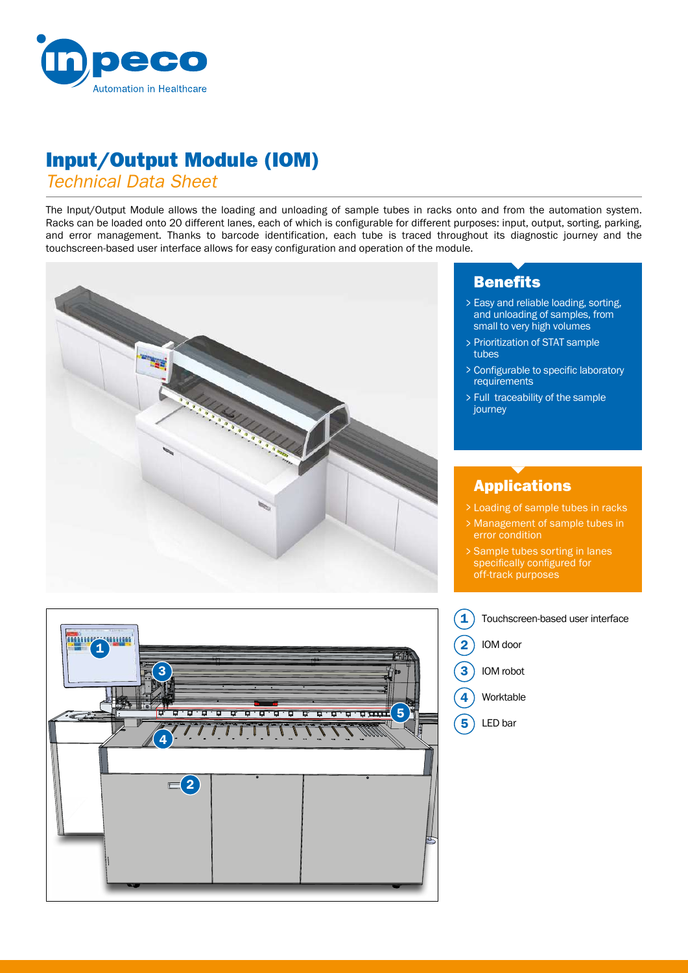

# Input/Output Module (IOM)

#### *Technical Data Sheet*

The Input/Output Module allows the loading and unloading of sample tubes in racks onto and from the automation system. Racks can be loaded onto 20 different lanes, each of which is configurable for different purposes: input, output, sorting, parking, and error management. Thanks to barcode identification, each tube is traced throughout its diagnostic journey and the touchscreen-based user interface allows for easy configuration and operation of the module.



## Benefits

- Easy and reliable loading, sorting, > and unloading of samples, from small to very high volumes
- Prioritization of STAT sample > tubes
- Configurable to specific laboratory >**requirements**
- Full traceability of the sample > journey

### Applications

- Loading of sample tubes in racks >
- Management of sample tubes in > error condition
- Sample tubes sorting in lanes > sample tubes sorting in la<br>specifically configured for off-track purposes



Touchscreen-based user interface Worktable IOM door LED bar IOM robot 1 2 3 4 5